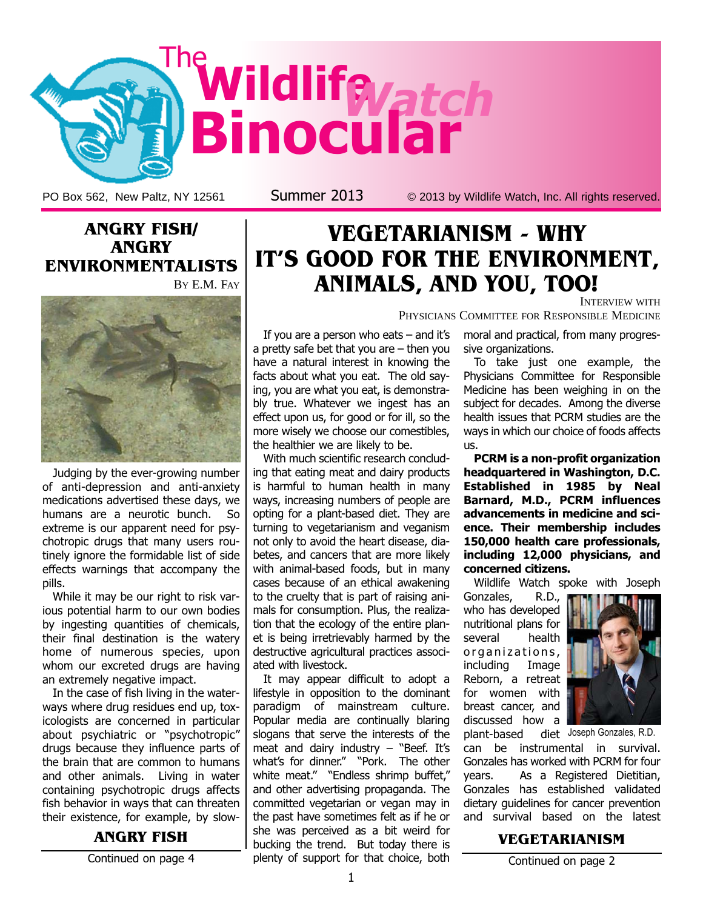

PO Box 562, New Paltz, NY 12561 Summer 2013 © 2013 by Wildlife Watch, Inc. All rights reserved.





Judging by the ever-growing number of anti-depression and anti-anxiety medications advertised these days, we humans are a neurotic bunch. So extreme is our apparent need for psychotropic drugs that many users routinely ignore the formidable list of side effects warnings that accompany the pills.

While it may be our right to risk various potential harm to our own bodies by ingesting quantities of chemicals, their final destination is the watery home of numerous species, upon whom our excreted drugs are having an extremely negative impact.

In the case of fish living in the waterways where drug residues end up, toxicologists are concerned in particular about psychiatric or "psychotropic" drugs because they influence parts of the brain that are common to humans and other animals. Living in water containing psychotropic drugs affects fish behavior in ways that can threaten their existence, for example, by slow-

#### ANGRY FISH

Continued on page 4

### VEGETARIANISM - WHY IT'S GOOD FOR THE ENVIRONMENT, ANIMALS, AND YOU, TOO!

If you are a person who eats – and it's a pretty safe bet that you are – then you have a natural interest in knowing the facts about what you eat. The old saying, you are what you eat, is demonstrably true. Whatever we ingest has an effect upon us, for good or for ill, so the more wisely we choose our comestibles, the healthier we are likely to be.

With much scientific research concluding that eating meat and dairy products is harmful to human health in many ways, increasing numbers of people are opting for a plant-based diet. They are turning to vegetarianism and veganism not only to avoid the heart disease, diabetes, and cancers that are more likely with animal-based foods, but in many cases because of an ethical awakening to the cruelty that is part of raising animals for consumption. Plus, the realization that the ecology of the entire planet is being irretrievably harmed by the destructive agricultural practices associated with livestock.

It may appear difficult to adopt a lifestyle in opposition to the dominant paradigm of mainstream culture. Popular media are continually blaring slogans that serve the interests of the meat and dairy industry  $-$  "Beef. It's what's for dinner." "Pork. The other white meat." "Endless shrimp buffet," and other advertising propaganda. The committed vegetarian or vegan may in the past have sometimes felt as if he or she was perceived as a bit weird for bucking the trend. But today there is plenty of support for that choice, both

INTERVIEW WITH PHYSICIANS COMMITTEE FOR RESPONSIBLE MEDICINE

> moral and practical, from many progressive organizations.

> To take just one example, the Physicians Committee for Responsible Medicine has been weighing in on the subject for decades. Among the diverse health issues that PCRM studies are the ways in which our choice of foods affects us.

> PCRM is a non-profit organization headquartered in Washington, D.C. Established in 1985 by Neal Barnard, M.D., PCRM influences advancements in medicine and science. Their membership includes 150,000 health care professionals, including 12,000 physicians, and concerned citizens.

> Wildlife Watch spoke with Joseph

Gonzales, R.D., who has developed nutritional plans for several health organizations, including Image Reborn, a retreat for women with breast cancer, and discussed how a plant-based



diet Joseph Gonzales, R.D.

can be instrumental in survival. Gonzales has worked with PCRM for four years. As a Registered Dietitian, Gonzales has established validated dietary guidelines for cancer prevention and survival based on the latest

#### VEGETARIANISM

Continued on page 2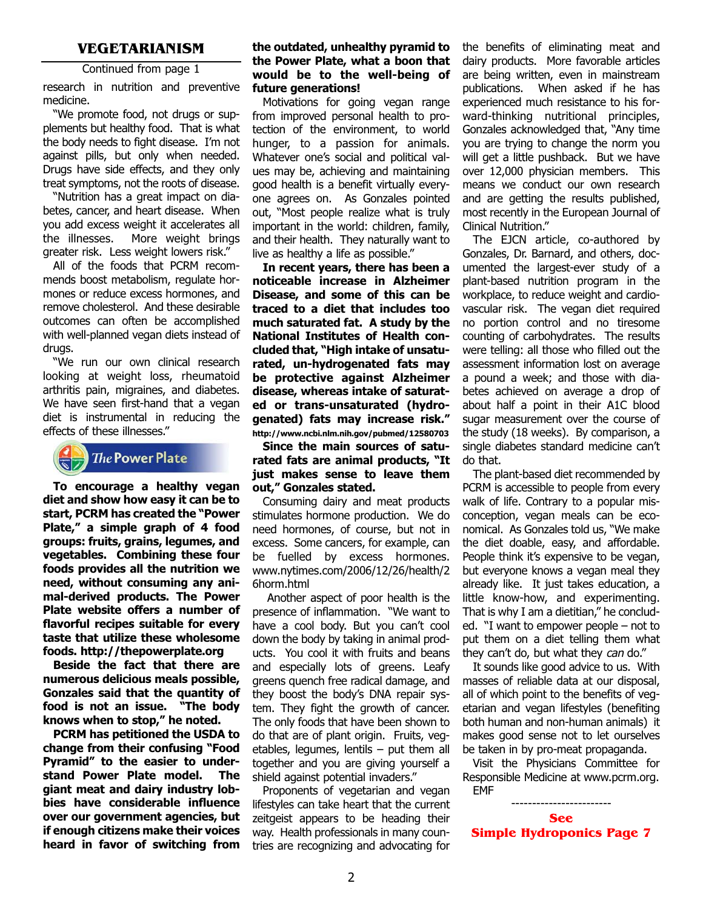#### VEGETARIANISM

Continued from page 1

research in nutrition and preventive medicine.

"We promote food, not drugs or supplements but healthy food. That is what the body needs to fight disease. I'm not against pills, but only when needed. Drugs have side effects, and they only treat symptoms, not the roots of disease.

"Nutrition has a great impact on diabetes, cancer, and heart disease. When you add excess weight it accelerates all the illnesses. More weight brings greater risk. Less weight lowers risk."

All of the foods that PCRM recommends boost metabolism, regulate hormones or reduce excess hormones, and remove cholesterol. And these desirable outcomes can often be accomplished with well-planned vegan diets instead of drugs.

"We run our own clinical research looking at weight loss, rheumatoid arthritis pain, migraines, and diabetes. We have seen first-hand that a vegan diet is instrumental in reducing the effects of these illnesses."

### **The Power Plate**

To encourage a healthy vegan diet and show how easy it can be to start, PCRM has created the "Power Plate," a simple graph of 4 food groups: fruits, grains, legumes, and vegetables. Combining these four foods provides all the nutrition we need, without consuming any animal-derived products. The Power Plate website offers a number of flavorful recipes suitable for every taste that utilize these wholesome foods. http://thepowerplate.org

Beside the fact that there are numerous delicious meals possible, Gonzales said that the quantity of food is not an issue. "The body knows when to stop," he noted.

PCRM has petitioned the USDA to change from their confusing "Food Pyramid" to the easier to understand Power Plate model. The giant meat and dairy industry lobbies have considerable influence over our government agencies, but if enough citizens make their voices heard in favor of switching from

#### the outdated, unhealthy pyramid to the Power Plate, what a boon that would be to the well-being of future generations!

Motivations for going vegan range from improved personal health to protection of the environment, to world hunger, to a passion for animals. Whatever one's social and political values may be, achieving and maintaining good health is a benefit virtually everyone agrees on. As Gonzales pointed out, "Most people realize what is truly important in the world: children, family, and their health. They naturally want to live as healthy a life as possible."

In recent years, there has been a noticeable increase in Alzheimer Disease, and some of this can be traced to a diet that includes too much saturated fat. A study by the National Institutes of Health concluded that, "High intake of unsaturated, un-hydrogenated fats may be protective against Alzheimer disease, whereas intake of saturated or trans-unsaturated (hydrogenated) fats may increase risk." http://www.ncbi.nlm.nih.gov/pubmed/12580703

Since the main sources of saturated fats are animal products, "It just makes sense to leave them out," Gonzales stated.

Consuming dairy and meat products stimulates hormone production. We do need hormones, of course, but not in excess. Some cancers, for example, can be fuelled by excess hormones. [www.nytimes.com/2006/12/26/health/2](http://www.nytimes.com/2006/12/26/health/26horm.html) 6horm.html

Another aspect of poor health is the presence of inflammation. "We want to have a cool body. But you can't cool down the body by taking in animal products. You cool it with fruits and beans and especially lots of greens. Leafy greens quench free radical damage, and they boost the body's DNA repair system. They fight the growth of cancer. The only foods that have been shown to do that are of plant origin. Fruits, vegetables, legumes, lentils – put them all together and you are giving yourself a shield against potential invaders."

Proponents of vegetarian and vegan lifestyles can take heart that the current zeitgeist appears to be heading their way. Health professionals in many countries are recognizing and advocating for the benefits of eliminating meat and dairy products. More favorable articles are being written, even in mainstream publications. When asked if he has experienced much resistance to his forward-thinking nutritional principles, Gonzales acknowledged that, "Any time you are trying to change the norm you will get a little pushback. But we have over 12,000 physician members. This means we conduct our own research and are getting the results published, most recently in the European Journal of Clinical Nutrition."

The EJCN article, co-authored by Gonzales, Dr. Barnard, and others, documented the largest-ever study of a plant-based nutrition program in the workplace, to reduce weight and cardiovascular risk. The vegan diet required no portion control and no tiresome counting of carbohydrates. The results were telling: all those who filled out the assessment information lost on average a pound a week; and those with diabetes achieved on average a drop of about half a point in their A1C blood sugar measurement over the course of the study (18 weeks). By comparison, a single diabetes standard medicine can't do that.

The plant-based diet recommended by PCRM is accessible to people from every walk of life. Contrary to a popular misconception, vegan meals can be economical. As Gonzales told us, "We make the diet doable, easy, and affordable. People think it's expensive to be vegan, but everyone knows a vegan meal they already like. It just takes education, a little know-how, and experimenting. That is why I am a dietitian," he concluded. "I want to empower people – not to put them on a diet telling them what they can't do, but what they can do."

It sounds like good advice to us. With masses of reliable data at our disposal, all of which point to the benefits of vegetarian and vegan lifestyles (benefiting both human and non-human animals) it makes good sense not to let ourselves be taken in by pro-meat propaganda.

Visit the Physicians Committee for Responsible Medicine at www.pcrm.org. EMF

------------------------ See Simple Hydroponics Page 7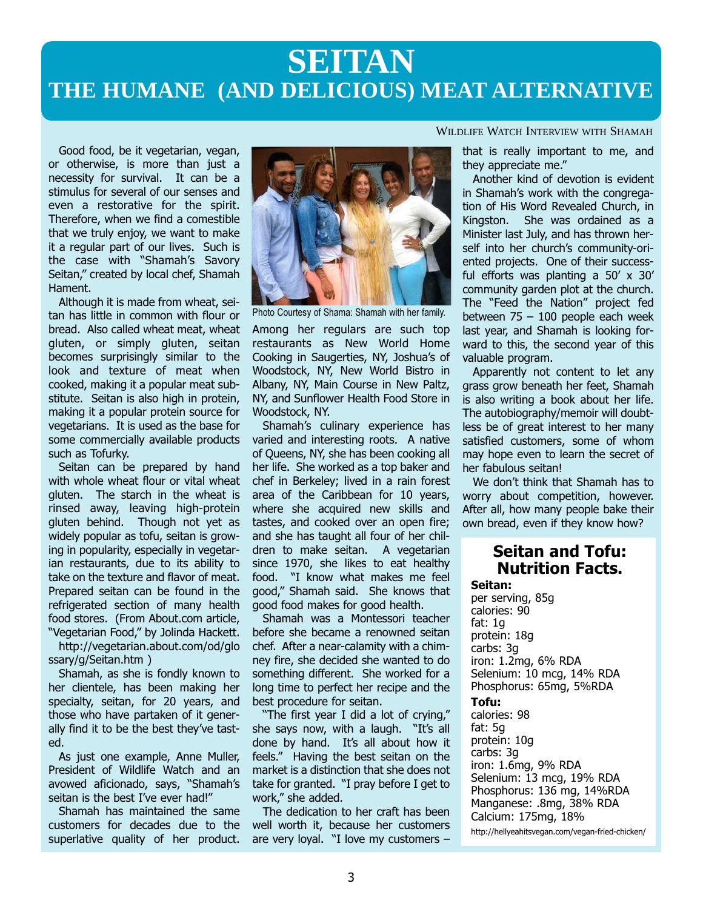## **SEITAN THE HUMANE (AND DELICIOUS) MEAT ALTERNATIVE**

Good food, be it vegetarian, vegan, or otherwise, is more than just a necessity for survival. It can be a stimulus for several of our senses and even a restorative for the spirit. Therefore, when we find a comestible that we truly enjoy, we want to make it a regular part of our lives. Such is the case with "Shamah's Savory Seitan," created by local chef, Shamah Hament.

Although it is made from wheat, seitan has little in common with flour or bread. Also called wheat meat, wheat gluten, or simply gluten, seitan becomes surprisingly similar to the look and texture of meat when cooked, making it a popular meat substitute. Seitan is also high in protein, making it a popular protein source for vegetarians. It is used as the base for some commercially available products such as Tofurky.

Seitan can be prepared by hand with whole wheat flour or vital wheat gluten. The starch in the wheat is rinsed away, leaving high-protein gluten behind. Though not yet as widely popular as tofu, seitan is growing in popularity, especially in vegetarian restaurants, due to its ability to take on the texture and flavor of meat. Prepared seitan can be found in the refrigerated section of many health food stores. (From About.com article, "Vegetarian Food," by Jolinda Hackett.

[http://vegetarian.about.com/od/glo](http://vegetarian.about.com/od/glossary/g/Seitan.htm) ssary/g/Seitan.htm )

Shamah, as she is fondly known to her clientele, has been making her specialty, seitan, for 20 years, and those who have partaken of it generally find it to be the best they've tasted.

As just one example, Anne Muller, President of Wildlife Watch and an avowed aficionado, says, "Shamah's seitan is the best I've ever had!"

Shamah has maintained the same customers for decades due to the superlative quality of her product.



Photo Courtesy of Shama: Shamah with her family.

Among her regulars are such top restaurants as New World Home Cooking in Saugerties, NY, Joshua's of Woodstock, NY, New World Bistro in Albany, NY, Main Course in New Paltz, NY, and Sunflower Health Food Store in Woodstock, NY.

Shamah's culinary experience has varied and interesting roots. A native of Queens, NY, she has been cooking all her life. She worked as a top baker and chef in Berkeley; lived in a rain forest area of the Caribbean for 10 years, where she acquired new skills and tastes, and cooked over an open fire; and she has taught all four of her children to make seitan. A vegetarian since 1970, she likes to eat healthy food. "I know what makes me feel good," Shamah said. She knows that good food makes for good health.

Shamah was a Montessori teacher before she became a renowned seitan chef. After a near-calamity with a chimney fire, she decided she wanted to do something different. She worked for a long time to perfect her recipe and the best procedure for seitan.

"The first year I did a lot of crying," she says now, with a laugh. "It's all done by hand. It's all about how it feels." Having the best seitan on the market is a distinction that she does not take for granted. "I pray before I get to work," she added.

The dedication to her craft has been well worth it, because her customers are very loyal. "I love my customers –

WILDLIFE WATCH INTERVIEW WITH SHAMAH

that is really important to me, and they appreciate me."

Another kind of devotion is evident in Shamah's work with the congregation of His Word Revealed Church, in Kingston. She was ordained as a Minister last July, and has thrown herself into her church's community-oriented projects. One of their successful efforts was planting a 50' x 30' community garden plot at the church. The "Feed the Nation" project fed between  $75 - 100$  people each week last year, and Shamah is looking forward to this, the second year of this valuable program.

Apparently not content to let any grass grow beneath her feet, Shamah is also writing a book about her life. The autobiography/memoir will doubtless be of great interest to her many satisfied customers, some of whom may hope even to learn the secret of her fabulous seitan!

We don't think that Shamah has to worry about competition, however. After all, how many people bake their own bread, even if they know how?

### Seitan and Tofu: Nutrition Facts.

Seitan: per serving, 85g calories: 90 fat: 1g protein: 18g carbs: 3g iron: 1.2mg, 6% RDA Selenium: 10 mcg, 14% RDA Phosphorus: 65mg, 5%RDA

#### Tofu:

calories: 98 fat: 5g protein: 10g carbs: 3g iron: 1.6mg, 9% RDA Selenium: 13 mcg, 19% RDA Phosphorus: 136 mg, 14%RDA Manganese: .8mg, 38% RDA Calcium: 175mg, 18%

http://hellyeahitsvegan.com/vegan-fried-chicken/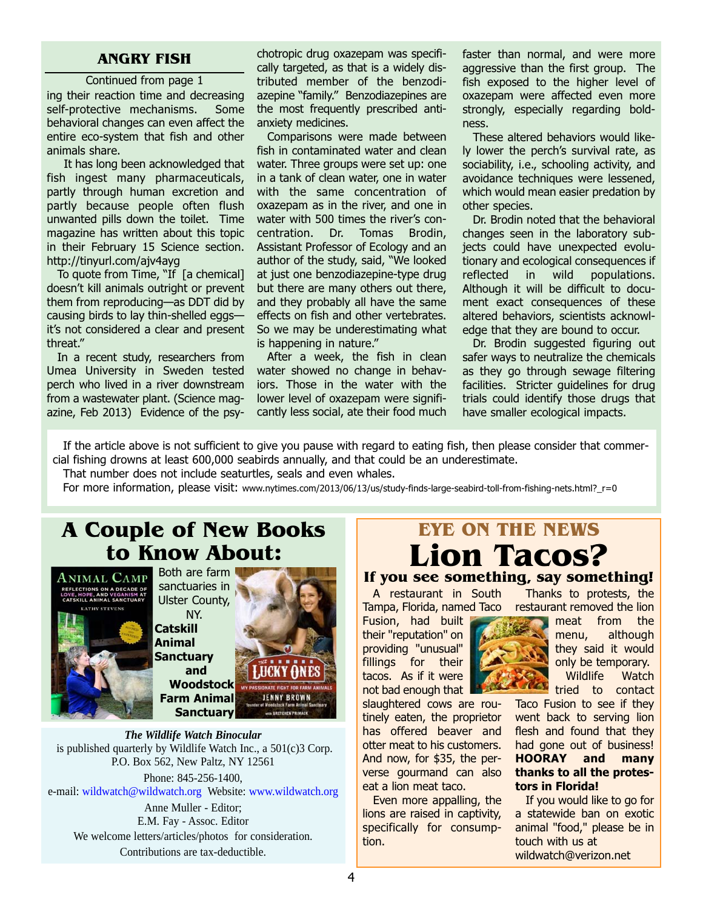#### ANGRY FISH

ing their reaction time and decreasing self-protective mechanisms. Some behavioral changes can even affect the entire eco-system that fish and other animals share. Continued from page 1

It has long been acknowledged that fish ingest many pharmaceuticals, partly through human excretion and partly because people often flush unwanted pills down the toilet. Time magazine has written about this topic in their February 15 Science section. http://tinyurl.com/ajv4ayg

To quote from Time, "If [a chemical] doesn't kill animals outright or prevent them from reproducing—as DDT did by causing birds to lay thin-shelled eggs it's not considered a clear and present threat."

In a recent study, researchers from Umea University in Sweden tested perch who lived in a river downstream from a wastewater plant. (Science magazine, Feb 2013) Evidence of the psy-

chotropic drug oxazepam was specifically targeted, as that is a widely distributed member of the benzodiazepine "family." Benzodiazepines are the most frequently prescribed antianxiety medicines.

Comparisons were made between fish in contaminated water and clean water. Three groups were set up: one in a tank of clean water, one in water with the same concentration of oxazepam as in the river, and one in water with 500 times the river's concentration. Dr. Tomas Brodin, Assistant Professor of Ecology and an author of the study, said, "We looked at just one benzodiazepine-type drug but there are many others out there, and they probably all have the same effects on fish and other vertebrates. So we may be underestimating what is happening in nature."

After a week, the fish in clean water showed no change in behaviors. Those in the water with the lower level of oxazepam were significantly less social, ate their food much faster than normal, and were more aggressive than the first group. The fish exposed to the higher level of oxazepam were affected even more strongly, especially regarding boldness.

These altered behaviors would likely lower the perch's survival rate, as sociability, i.e., schooling activity, and avoidance techniques were lessened, which would mean easier predation by other species.

Dr. Brodin noted that the behavioral changes seen in the laboratory subjects could have unexpected evolutionary and ecological consequences if reflected in wild populations. Although it will be difficult to document exact consequences of these altered behaviors, scientists acknowledge that they are bound to occur.

Dr. Brodin suggested figuring out safer ways to neutralize the chemicals as they go through sewage filtering facilities. Stricter guidelines for drug trials could identify those drugs that have smaller ecological impacts.

If the article above is not sufficient to give you pause with regard to eating fish, then please consider that commercial fishing drowns at least 600,000 seabirds annually, and that could be an underestimate.

That number does not include seaturtles, seals and even whales.

For more information, please visit: www.nytimes.com/2013/06/13/us/study-finds-large-seabird-toll-from-fishing-nets.html?\_r=0

### A Couple of New Books to Know About:



Both are farm sanctuaries in Ulster County,

NY. **Catskill** Animal Sanctuary and Woodstoc[k](http://www.woodstocksanctuary.org/?gclid=COma5uDnh7gCFc1cMgodAWsA1w) Farm Animal



*The Wildlife Watch Binocular* is published quarterly by Wildlife Watch Inc., a 501(c)3 Corp. P.O. Box 562, New Paltz, NY 12561

Phone: 845-256-1400, e-mail: wildwatch@wildwatch.org Website: www.wildwatch.org

Anne Muller - Editor; E.M. Fay - Assoc. Editor We welcome letters/articles/photos for consideration. Contributions are tax-deductible.

### EYE ON THE NEWS Lion Tacos?

#### Thanks to protests, the If you see something, say something!

żу.

A restaurant in South Tampa, Florida, named Taco

Fusion, had built their "reputation" on providing "unusual" fillings for their tacos. As if it were not bad enough that

slaughtered cows are routinely eaten, the proprietor has offered beaver and otter meat to his customers. And now, for \$35, the perverse gourmand can also eat a lion meat taco.

Even more appalling, the lions are raised in captivity, specifically for consumption.

restaurant removed the lion meat from the menu, although

they said it would only be temporary. Wildlife Watch

tried to contact Taco Fusion to see if they

went back to serving lion flesh and found that they had gone out of business! HOORAY and many thanks to all the protestors in Florida!

If you would like to go for a statewide ban on exotic animal "food," please be in touch with us at wildwatch@verizon.net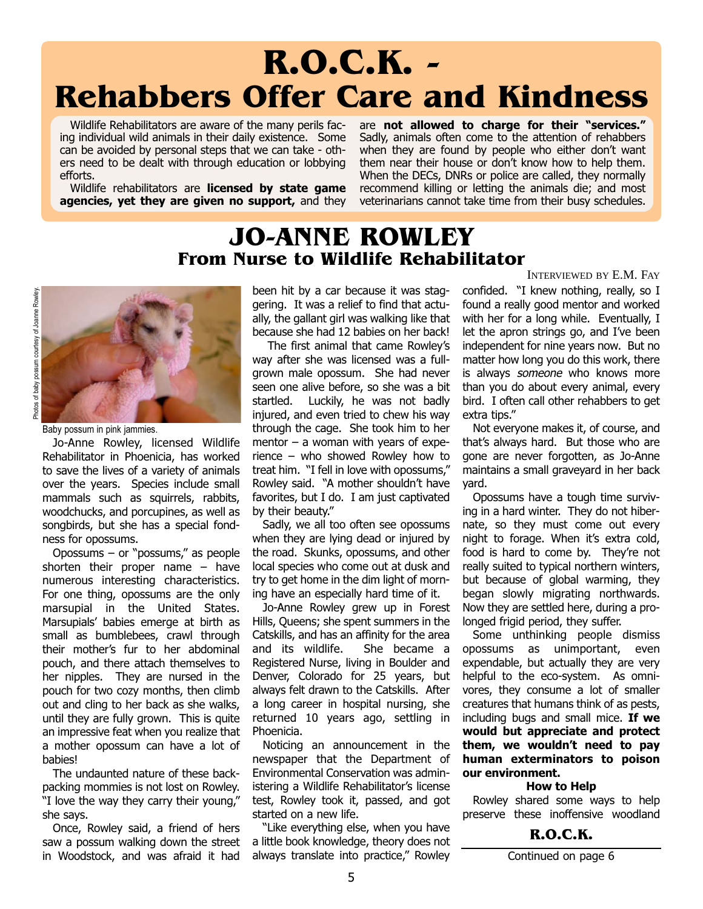# R.O.C.K. - Rehabbers Offer Care and Kindness

Wildlife Rehabilitators are aware of the many perils facing individual wild animals in their daily existence. Some can be avoided by personal steps that we can take - others need to be dealt with through education or lobbying efforts.

Wildlife rehabilitators are **licensed by state game** agencies, yet they are given no support, and they are not allowed to charge for their "services." Sadly, animals often come to the attention of rehabbers when they are found by people who either don't want them near their house or don't know how to help them. When the DECs, DNRs or police are called, they normally recommend killing or letting the animals die; and most veterinarians cannot take time from their busy schedules.

### JO-ANNE ROWLEY From Nurse to Wildlife Rehabilitator



Baby possum in pink jammies.

Jo-Anne Rowley, licensed Wildlife Rehabilitator in Phoenicia, has worked to save the lives of a variety of animals over the years. Species include small mammals such as squirrels, rabbits, woodchucks, and porcupines, as well as songbirds, but she has a special fondness for opossums.

Opossums – or "possums," as people shorten their proper name – have numerous interesting characteristics. For one thing, opossums are the only marsupial in the United States. Marsupials' babies emerge at birth as small as bumblebees, crawl through their mother's fur to her abdominal pouch, and there attach themselves to her nipples. They are nursed in the pouch for two cozy months, then climb out and cling to her back as she walks, until they are fully grown. This is quite an impressive feat when you realize that a mother opossum can have a lot of babies!

The undaunted nature of these backpacking mommies is not lost on Rowley. "I love the way they carry their young," she says.

Once, Rowley said, a friend of hers saw a possum walking down the street in Woodstock, and was afraid it had been hit by a car because it was staggering. It was a relief to find that actually, the gallant girl was walking like that because she had 12 babies on her back!

The first animal that came Rowley's way after she was licensed was a fullgrown male opossum. She had never seen one alive before, so she was a bit startled. Luckily, he was not badly injured, and even tried to chew his way through the cage. She took him to her mentor  $-$  a woman with years of experience – who showed Rowley how to treat him. "I fell in love with opossums," Rowley said. "A mother shouldn't have favorites, but I do. I am just captivated by their beauty."

Sadly, we all too often see opossums when they are lying dead or injured by the road. Skunks, opossums, and other local species who come out at dusk and try to get home in the dim light of morning have an especially hard time of it.

Jo-Anne Rowley grew up in Forest Hills, Queens; she spent summers in the Catskills, and has an affinity for the area and its wildlife. She became a Registered Nurse, living in Boulder and Denver, Colorado for 25 years, but always felt drawn to the Catskills. After a long career in hospital nursing, she returned 10 years ago, settling in Phoenicia.

Noticing an announcement in the newspaper that the Department of Environmental Conservation was administering a Wildlife Rehabilitator's license test, Rowley took it, passed, and got started on a new life.

"Like everything else, when you have a little book knowledge, theory does not always translate into practice," Rowley INTERVIEWED BY E.M. FAY

confided. "I knew nothing, really, so I found a really good mentor and worked with her for a long while. Eventually, I let the apron strings go, and I've been independent for nine years now. But no matter how long you do this work, there is always someone who knows more than you do about every animal, every bird. I often call other rehabbers to get extra tips."

Not everyone makes it, of course, and that's always hard. But those who are gone are never forgotten, as Jo-Anne maintains a small graveyard in her back yard.

Opossums have a tough time surviving in a hard winter. They do not hibernate, so they must come out every night to forage. When it's extra cold, food is hard to come by. They're not really suited to typical northern winters, but because of global warming, they began slowly migrating northwards. Now they are settled here, during a prolonged frigid period, they suffer.

Some unthinking people dismiss opossums as unimportant, even expendable, but actually they are very helpful to the eco-system. As omnivores, they consume a lot of smaller creatures that humans think of as pests, including bugs and small mice. If we would but appreciate and protect them, we wouldn't need to pay human exterminators to poison our environment.

#### How to Help

Rowley shared some ways to help preserve these inoffensive woodland

#### R.O.C.K.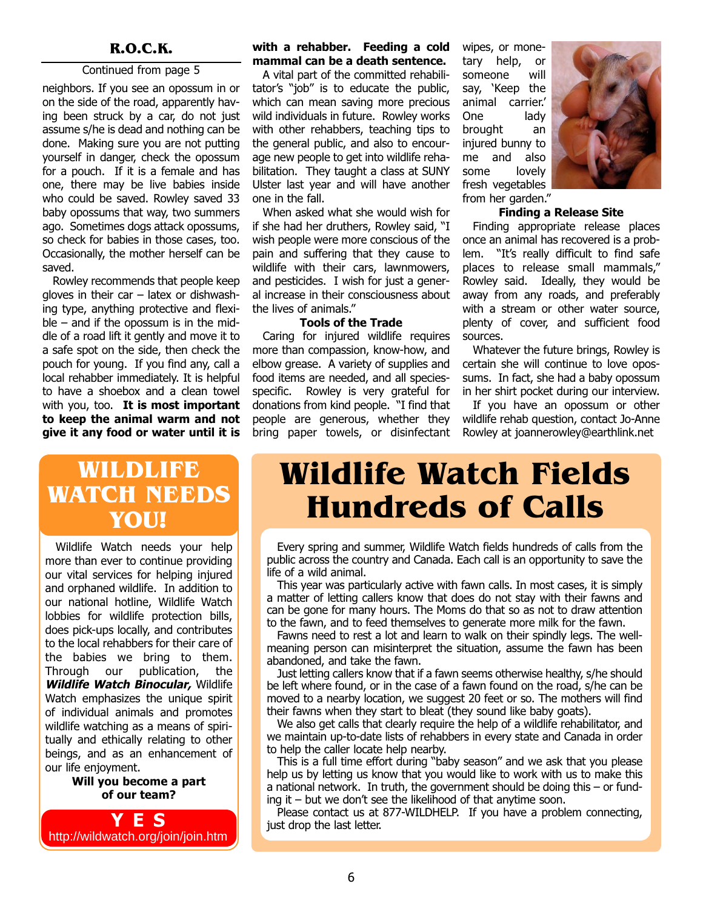#### Continued from page 5

neighbors. If you see an opossum in or on the side of the road, apparently having been struck by a car, do not just assume s/he is dead and nothing can be done. Making sure you are not putting yourself in danger, check the opossum for a pouch. If it is a female and has one, there may be live babies inside who could be saved. Rowley saved 33 baby opossums that way, two summers ago. Sometimes dogs attack opossums, so check for babies in those cases, too. Occasionally, the mother herself can be saved.

Rowley recommends that people keep gloves in their car – latex or dishwashing type, anything protective and flexi $ble -$  and if the opossum is in the middle of a road lift it gently and move it to a safe spot on the side, then check the pouch for young. If you find any, call a local rehabber immediately. It is helpful to have a shoebox and a clean towel with you, too. It is most important to keep the animal warm and not give it any food or water until it is

### WILDLIFE WATCH NEEDS YOU!

Wildlife Watch needs your help more than ever to continue providing our vital services for helping injured and orphaned wildlife. In addition to our national hotline, Wildlife Watch lobbies for wildlife protection bills, does pick-ups locally, and contributes to the local rehabbers for their care of the babies we bring to them. Through our publication, the Wildlife Watch Binocular, Wildlife Watch emphasizes the unique spirit of individual animals and promotes wildlife watching as a means of spiritually and ethically relating to other beings, and as an enhancement of our life enjoyment.

> Will you become a part of our team?



#### R.O.C.K. with a rehabber. Feeding a cold mammal can be a death sentence.

A vital part of the committed rehabilitator's "job" is to educate the public, which can mean saving more precious wild individuals in future. Rowley works with other rehabbers, teaching tips to the general public, and also to encourage new people to get into wildlife rehabilitation. They taught a class at SUNY Ulster last year and will have another one in the fall.

When asked what she would wish for if she had her druthers, Rowley said, "I wish people were more conscious of the pain and suffering that they cause to wildlife with their cars, lawnmowers, and pesticides. I wish for just a general increase in their consciousness about the lives of animals."

#### Tools of the Trade

Caring for injured wildlife requires more than compassion, know-how, and elbow grease. A variety of supplies and food items are needed, and all speciesspecific. Rowley is very grateful for donations from kind people. "I find that people are generous, whether they bring paper towels, or disinfectant wipes, or monetary help, or someone will say, 'Keep the animal carrier.' One lady brought an injured bunny to me and also some lovely fresh vegetables from her garden."



#### Finding a Release Site

Finding appropriate release places once an animal has recovered is a problem. "It's really difficult to find safe places to release small mammals," Rowley said. Ideally, they would be away from any roads, and preferably with a stream or other water source, plenty of cover, and sufficient food sources.

Whatever the future brings, Rowley is certain she will continue to love opossums. In fact, she had a baby opossum in her shirt pocket during our interview.

If you have an opossum or other wildlife rehab question, contact Jo-Anne Rowley at joannerowley@earthlink.net

# Wildlife Watch Fields Hundreds of Calls

Every spring and summer, Wildlife Watch fields hundreds of calls from the public across the country and Canada. Each call is an opportunity to save the life of a wild animal.

This year was particularly active with fawn calls. In most cases, it is simply a matter of letting callers know that does do not stay with their fawns and can be gone for many hours. The Moms do that so as not to draw attention to the fawn, and to feed themselves to generate more milk for the fawn.

Fawns need to rest a lot and learn to walk on their spindly legs. The wellmeaning person can misinterpret the situation, assume the fawn has been abandoned, and take the fawn.

Just letting callers know that if a fawn seems otherwise healthy, s/he should be left where found, or in the case of a fawn found on the road, s/he can be moved to a nearby location, we suggest 20 feet or so. The mothers will find their fawns when they start to bleat (they sound like baby goats).

We also get calls that clearly require the help of a wildlife rehabilitator, and we maintain up-to-date lists of rehabbers in every state and Canada in order to help the caller locate help nearby.

This is a full time effort during "baby season" and we ask that you please help us by letting us know that you would like to work with us to make this a national network. In truth, the government should be doing this – or funding it – but we don't see the likelihood of that anytime soon.

Please contact us at 877-WILDHELP. If you have a problem connecting, just drop the last letter.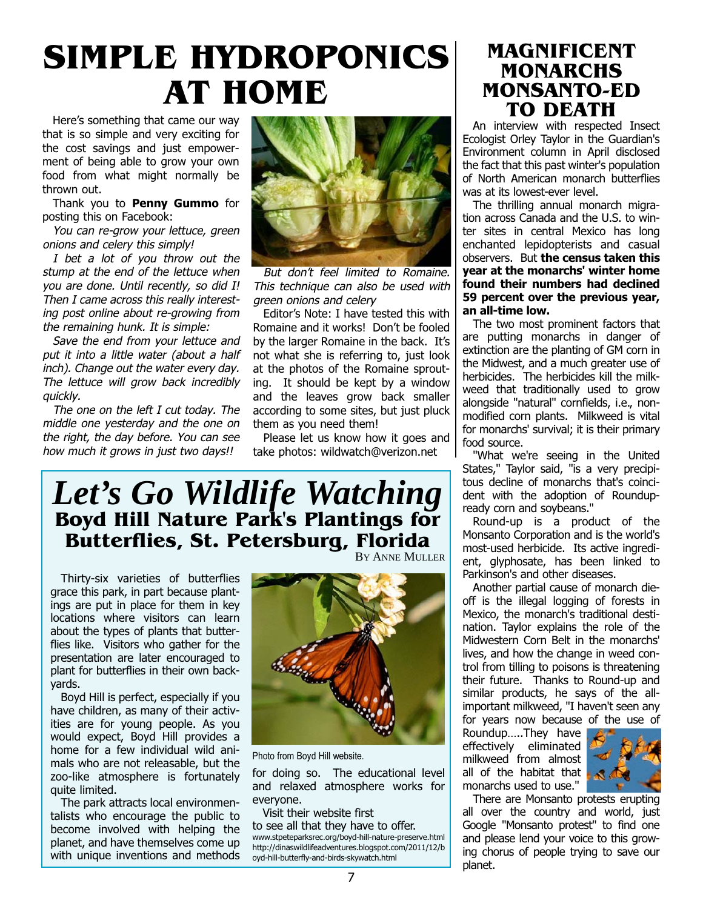# SIMPLE HYDROPONICS AT HOME

Here's something that came our way that is so simple and very exciting for the cost savings and just empowerment of being able to grow your own food from what might normally be thrown out.

Thank you to **Penny Gummo** for posting this on Facebook:

You can re-grow your lettuce, green onions and celery this simply!

I bet a lot of you throw out the stump at the end of the lettuce when you are done. Until recently, so did I! Then I came across this really interesting post online about re-growing from the remaining hunk. It is simple:

Save the end from your lettuce and put it into a little water (about a half inch). Change out the water every day. The lettuce will grow back incredibly quickly.

The one on the left I cut today. The middle one yesterday and the one on the right, the day before. You can see how much it grows in just two days!!



But don't feel limited to Romaine. This technique can also be used with green onions and celery

Editor's Note: I have tested this with Romaine and it works! Don't be fooled by the larger Romaine in the back. It's not what she is referring to, just look at the photos of the Romaine sprouting. It should be kept by a window and the leaves grow back smaller according to some sites, but just pluck them as you need them!

Please let us know how it goes and take photos: wildwatch@verizon.net

### *Let's Go Wildlife Watching* Boyd Hill Nature Park's Plantings for Butterflies, St. Petersburg, Florida BY ANNE MULLER

Thirty-six varieties of butterflies grace this park, in part because plantings are put in place for them in key locations where visitors can learn about the types of plants that butterflies like. Visitors who gather for the presentation are later encouraged to plant for butterflies in their own backyards.

Boyd Hill is perfect, especially if you have children, as many of their activities are for young people. As you would expect, Boyd Hill provides a home for a few individual wild animals who are not releasable, but the zoo-like atmosphere is fortunately quite limited.

The park attracts local environmentalists who encourage the public to become involved with helping the planet, and have themselves come up with unique inventions and methods



Photo from Boyd Hill website.

for doing so. The educational level and relaxed atmosphere works for everyone.

Visit their website first

to see all that they have to offer. www.stpeteparksrec.org/boyd-hill-nature-preserve.html [http://dinaswildlifeadventures.blogspot.com/2011/12/b](http://dinaswildlifeadventures.blogspot.com/2011/12/boyd-hill-butterfly-and-birds-skywatch.html) oyd-hill-butterfly-and-birds-skywatch.html

### MAGNIFICENT MONARCHS MONSANTO-ED TO DEATH

An interview with respected Insect Ecologist Orley Taylor in the Guardian's Environment column in April disclosed the fact that this past winter's population of North American monarch butterflies was at its lowest-ever level.

The thrilling annual monarch migration across Canada and the U.S. to winter sites in central Mexico has long enchanted lepidopterists and casual observers. But the census taken this year at the monarchs' winter home found their numbers had declined 59 percent over the previous year, an all-time low.

The two most prominent factors that are putting monarchs in danger of extinction are the planting of GM corn in the Midwest, and a much greater use of herbicides. The herbicides kill the milkweed that traditionally used to grow alongside "natural" cornfields, i.e., nonmodified corn plants. Milkweed is vital for monarchs' survival; it is their primary food source.

"What we're seeing in the United States," Taylor said, "is a very precipitous decline of monarchs that's coincident with the adoption of Roundupready corn and soybeans."

Round-up is a product of the Monsanto Corporation and is the world's most-used herbicide. Its active ingredient, glyphosate, has been linked to Parkinson's and other diseases.

Another partial cause of monarch dieoff is the illegal logging of forests in Mexico, the monarch's traditional destination. Taylor explains the role of the Midwestern Corn Belt in the monarchs' lives, and how the change in weed control from tilling to poisons is threatening their future. Thanks to Round-up and similar products, he says of the allimportant milkweed, "I haven't seen any for years now because of the use of

Roundup…..They have effectively eliminated milkweed from almost all of the habitat that monarchs used to use."



There are Monsanto protests erupting all over the country and world, just Google "Monsanto protest" to find one and please lend your voice to this growing chorus of people trying to save our planet.